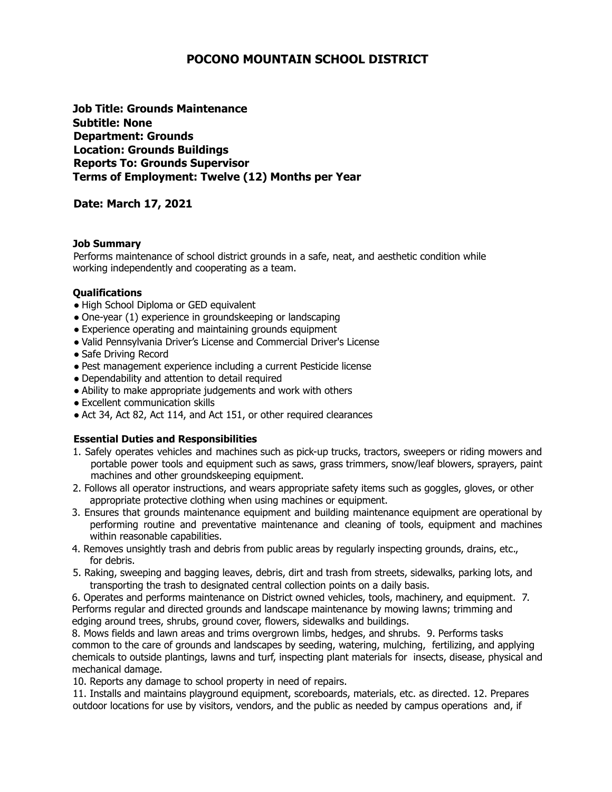# **POCONO MOUNTAIN SCHOOL DISTRICT**

**Job Title: Grounds Maintenance Subtitle: None Department: Grounds Location: Grounds Buildings Reports To: Grounds Supervisor Terms of Employment: Twelve (12) Months per Year**

## **Date: March 17, 2021**

#### **Job Summary**

Performs maintenance of school district grounds in a safe, neat, and aesthetic condition while working independently and cooperating as a team.

#### **Qualifications**

- High School Diploma or GED equivalent
- One-year (1) experience in groundskeeping or landscaping
- Experience operating and maintaining grounds equipment
- Valid Pennsylvania Driver's License and Commercial Driver's License
- Safe Driving Record
- Pest management experience including a current Pesticide license
- Dependability and attention to detail required
- Ability to make appropriate judgements and work with others
- Excellent communication skills
- Act 34, Act 82, Act 114, and Act 151, or other required clearances

### **Essential Duties and Responsibilities**

- 1. Safely operates vehicles and machines such as pick-up trucks, tractors, sweepers or riding mowers and portable power tools and equipment such as saws, grass trimmers, snow/leaf blowers, sprayers, paint machines and other groundskeeping equipment.
- 2. Follows all operator instructions, and wears appropriate safety items such as goggles, gloves, or other appropriate protective clothing when using machines or equipment.
- 3. Ensures that grounds maintenance equipment and building maintenance equipment are operational by performing routine and preventative maintenance and cleaning of tools, equipment and machines within reasonable capabilities.
- 4. Removes unsightly trash and debris from public areas by regularly inspecting grounds, drains, etc., for debris.
- 5. Raking, sweeping and bagging leaves, debris, dirt and trash from streets, sidewalks, parking lots, and transporting the trash to designated central collection points on a daily basis.

6. Operates and performs maintenance on District owned vehicles, tools, machinery, and equipment. 7. Performs regular and directed grounds and landscape maintenance by mowing lawns; trimming and edging around trees, shrubs, ground cover, flowers, sidewalks and buildings.

8. Mows fields and lawn areas and trims overgrown limbs, hedges, and shrubs. 9. Performs tasks common to the care of grounds and landscapes by seeding, watering, mulching, fertilizing, and applying chemicals to outside plantings, lawns and turf, inspecting plant materials for insects, disease, physical and mechanical damage.

10. Reports any damage to school property in need of repairs.

11. Installs and maintains playground equipment, scoreboards, materials, etc. as directed. 12. Prepares outdoor locations for use by visitors, vendors, and the public as needed by campus operations and, if